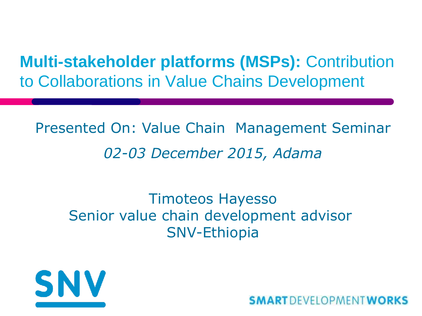**Multi-stakeholder platforms (MSPs):** Contribution to Collaborations in Value Chains Development

Presented On: Value Chain Management Seminar *02-03 December 2015, Adama*

#### Timoteos Hayesso Senior value chain development advisor SNV-Ethiopia



**SMART** DEVELOPMENT WORKS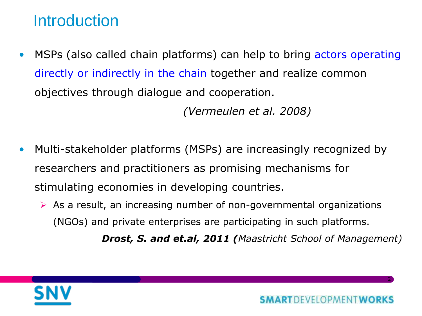### **Introduction**

MSPs (also called chain platforms) can help to bring actors operating directly or indirectly in the chain together and realize common objectives through dialogue and cooperation.

*(Vermeulen et al. 2008)*

- Multi-stakeholder platforms (MSPs) are increasingly recognized by researchers and practitioners as promising mechanisms for stimulating economies in developing countries.
	- $\triangleright$  As a result, an increasing number of non-governmental organizations (NGOs) and private enterprises are participating in such platforms.

*Drost, S. and et.al, 2011 (Maastricht School of Management)*

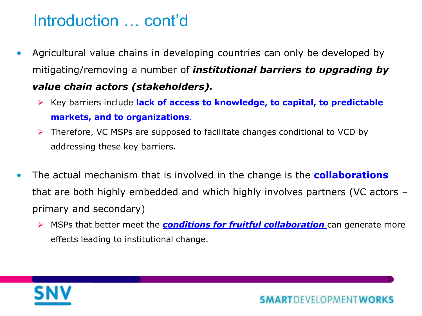## Introduction … cont'd

- Agricultural value chains in developing countries can only be developed by mitigating/removing a number of *institutional barriers to upgrading by value chain actors (stakeholders).*
	- **EXEC** Key barriers include lack of access to knowledge, to capital, to predictable **markets, and to organizations**.
	- $\triangleright$  Therefore, VC MSPs are supposed to facilitate changes conditional to VCD by addressing these key barriers.
- The actual mechanism that is involved in the change is the **collaborations** that are both highly embedded and which highly involves partners (VC actors – primary and secondary)
	- MSPs that better meet the *conditions for fruitful collaboration* can generate more effects leading to institutional change.

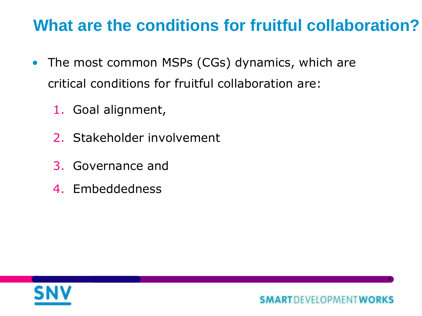## **What are the conditions for fruitful collaboration?**

- The most common MSPs (CGs) dynamics, which are critical conditions for fruitful collaboration are:
	- 1. Goal alignment,
	- 2. Stakeholder involvement
	- 3. Governance and
	- 4. Embeddedness

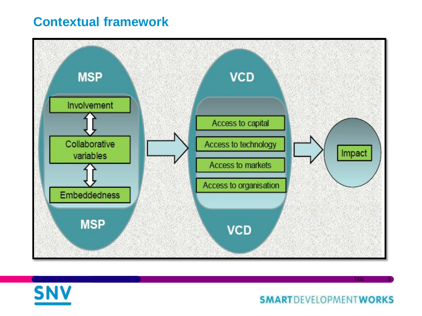#### **Contextual framework**





**SMARTDEVELOPMENTWORKS** 

Title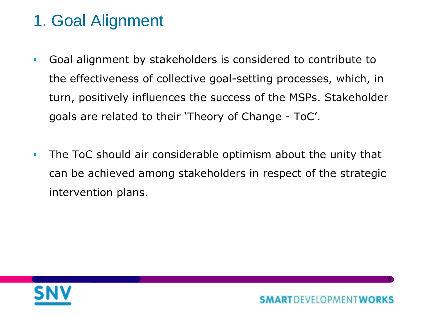# 1. Goal Alignment

- Goal alignment by stakeholders is considered to contribute to the effectiveness of collective goal-setting processes, which, in turn, positively influences the success of the MSPs. Stakeholder goals are related to their 'Theory of Change - ToC'.
- The ToC should air considerable optimism about the unity that can be achieved among stakeholders in respect of the strategic intervention plans.

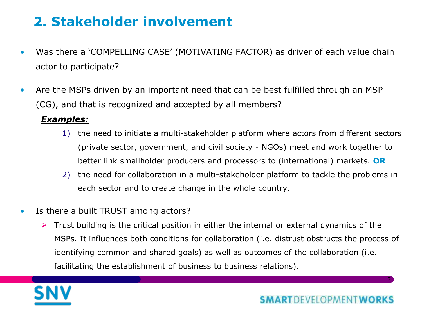#### **2. Stakeholder involvement**

- Was there a 'COMPELLING CASE' (MOTIVATING FACTOR) as driver of each value chain actor to participate?
- Are the MSPs driven by an important need that can be best fulfilled through an MSP (CG), and that is recognized and accepted by all members?

#### *Examples:*

- 1) the need to initiate a multi-stakeholder platform where actors from different sectors (private sector, government, and civil society - NGOs) meet and work together to better link smallholder producers and processors to (international) markets. **OR**
- 2) the need for collaboration in a multi-stakeholder platform to tackle the problems in each sector and to create change in the whole country.
- Is there a built TRUST among actors?
	- $\triangleright$  Trust building is the critical position in either the internal or external dynamics of the MSPs. It influences both conditions for collaboration (i.e. distrust obstructs the process of identifying common and shared goals) as well as outcomes of the collaboration (i.e. facilitating the establishment of business to business relations).

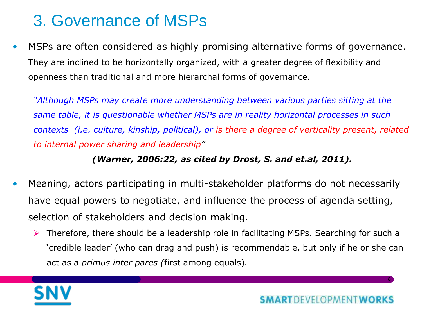## 3. Governance of MSPs

• MSPs are often considered as highly promising alternative forms of governance. They are inclined to be horizontally organized, with a greater degree of flexibility and openness than traditional and more hierarchal forms of governance.

*"Although MSPs may create more understanding between various parties sitting at the same table, it is questionable whether MSPs are in reality horizontal processes in such contexts (i.e. culture, kinship, political), or is there a degree of verticality present, related to internal power sharing and leadership"* 

#### *(Warner, 2006:22, as cited by Drost, S. and et.al, 2011).*

- Meaning, actors participating in multi-stakeholder platforms do not necessarily have equal powers to negotiate, and influence the process of agenda setting, selection of stakeholders and decision making.
	- $\triangleright$  Therefore, there should be a leadership role in facilitating MSPs. Searching for such a 'credible leader' (who can drag and push) is recommendable, but only if he or she can act as a *primus inter pares (*first among equals)*.*

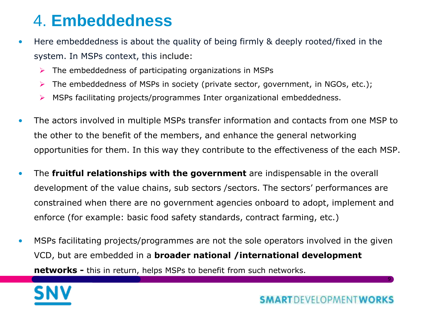### 4. **Embeddedness**

- Here embeddedness is about the quality of being firmly & deeply rooted/fixed in the system. In MSPs context, this include:
	- $\triangleright$  The embeddedness of participating organizations in MSPs
	- $\triangleright$  The embeddedness of MSPs in society (private sector, government, in NGOs, etc.);
	- $\triangleright$  MSPs facilitating projects/programmes Inter organizational embeddedness.
- The actors involved in multiple MSPs transfer information and contacts from one MSP to the other to the benefit of the members, and enhance the general networking opportunities for them. In this way they contribute to the effectiveness of the each MSP.
- The **fruitful relationships with the government** are indispensable in the overall development of the value chains, sub sectors /sectors. The sectors' performances are constrained when there are no government agencies onboard to adopt, implement and enforce (for example: basic food safety standards, contract farming, etc.)
- MSPs facilitating projects/programmes are not the sole operators involved in the given VCD, but are embedded in a **broader national /international development networks -** this in return, helps MSPs to benefit from such networks.

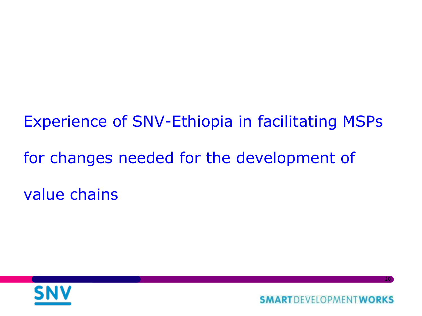Experience of SNV-Ethiopia in facilitating MSPs for changes needed for the development of value chains



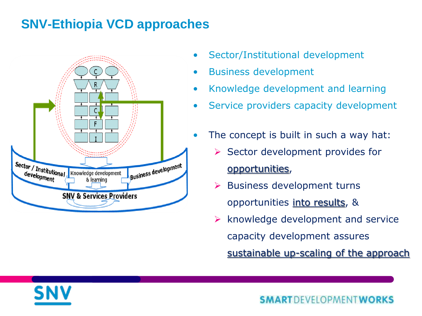#### **SNV-Ethiopia VCD approaches**



- Sector/Institutional development
- Business development
- Knowledge development and learning
- Service providers capacity development
- The concept is built in such a way hat:
	- $\triangleright$  Sector development provides for opportunities,
	- $\triangleright$  Business development turns opportunities into results, &
	- knowledge development and service capacity development assures

sustainable up-scaling of the approach



**SMART** DEVELOPMENT WORKS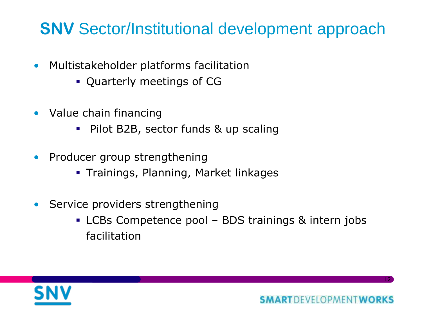## SNV Sector/Institutional development approach

- Multistakeholder platforms facilitation
	- Quarterly meetings of CG
- Value chain financing
	- Pilot B2B, sector funds & up scaling
- Producer group strengthening
	- **Trainings, Planning, Market linkages**
- Service providers strengthening
	- LCBs Competence pool BDS trainings & intern jobs facilitation

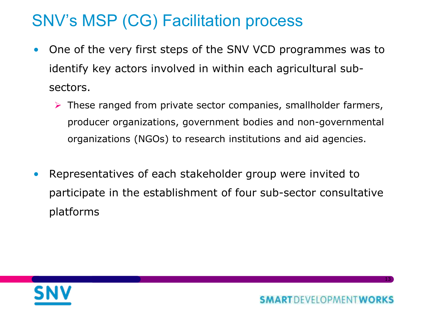# SNV's MSP (CG) Facilitation process

- One of the very first steps of the SNV VCD programmes was to identify key actors involved in within each agricultural subsectors.
	- $\triangleright$  These ranged from private sector companies, smallholder farmers, producer organizations, government bodies and non-governmental organizations (NGOs) to research institutions and aid agencies.
- Representatives of each stakeholder group were invited to participate in the establishment of four sub-sector consultative platforms

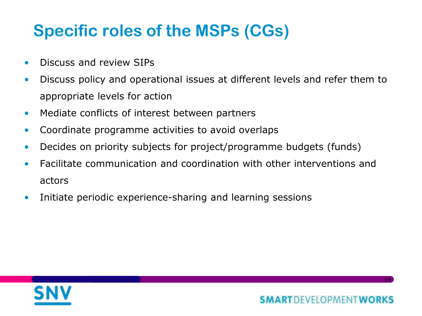# Specific roles of the MSPs (CGs)

- Discuss and review SIPs
- Discuss policy and operational issues at different levels and refer them to appropriate levels for action
- Mediate conflicts of interest between partners
- Coordinate programme activities to avoid overlaps
- Decides on priority subjects for project/programme budgets (funds)
- Facilitate communication and coordination with other interventions and actors
- Initiate periodic experience-sharing and learning sessions

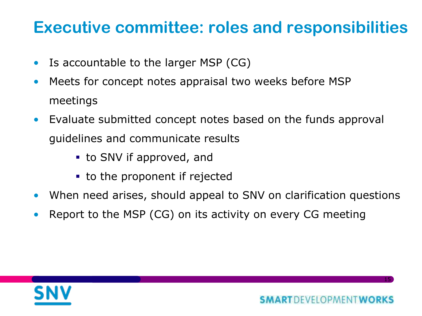## Executive committee: roles and responsibilities

- Is accountable to the larger MSP (CG)
- Meets for concept notes appraisal two weeks before MSP meetings
- Evaluate submitted concept notes based on the funds approval guidelines and communicate results
	- to SNV if approved, and
	- **to the proponent if rejected**
- When need arises, should appeal to SNV on clarification questions
- Report to the MSP (CG) on its activity on every CG meeting

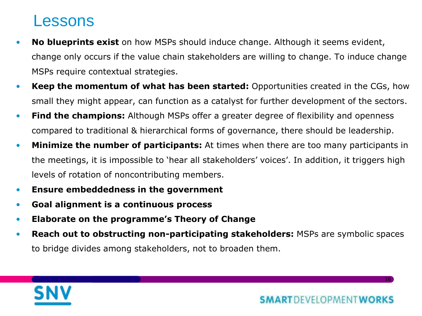#### Lessons

- **No blueprints exist** on how MSPs should induce change. Although it seems evident, change only occurs if the value chain stakeholders are willing to change. To induce change MSPs require contextual strategies.
- **Keep the momentum of what has been started:** Opportunities created in the CGs, how small they might appear, can function as a catalyst for further development of the sectors.
- **Find the champions:** Although MSPs offer a greater degree of flexibility and openness compared to traditional & hierarchical forms of governance, there should be leadership.
- **Minimize the number of participants:** At times when there are too many participants in the meetings, it is impossible to 'hear all stakeholders' voices'. In addition, it triggers high levels of rotation of noncontributing members.
- **Ensure embeddedness in the government**
- **Goal alignment is a continuous process**
- **Elaborate on the programme's Theory of Change**
- **Reach out to obstructing non-participating stakeholders:** MSPs are symbolic spaces to bridge divides among stakeholders, not to broaden them.



**SMARTDEVELOPMENTWORKS**